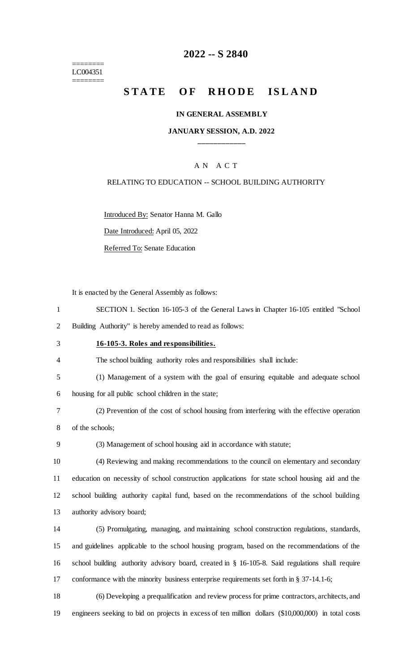======== LC004351 ========

## **-- S 2840**

# **STATE OF RHODE ISLAND**

#### **IN GENERAL ASSEMBLY**

### **JANUARY SESSION, A.D. 2022 \_\_\_\_\_\_\_\_\_\_\_\_**

### A N A C T

#### RELATING TO EDUCATION -- SCHOOL BUILDING AUTHORITY

Introduced By: Senator Hanna M. Gallo

Date Introduced: April 05, 2022

Referred To: Senate Education

It is enacted by the General Assembly as follows:

- SECTION 1. Section 16-105-3 of the General Laws in Chapter 16-105 entitled "School Building Authority" is hereby amended to read as follows:
- 

#### **16-105-3. Roles and responsibilities.**

- The school building authority roles and responsibilities shall include:
- (1) Management of a system with the goal of ensuring equitable and adequate school housing for all public school children in the state;
- (2) Prevention of the cost of school housing from interfering with the effective operation of the schools;
- 

(3) Management of school housing aid in accordance with statute;

 (4) Reviewing and making recommendations to the council on elementary and secondary education on necessity of school construction applications for state school housing aid and the school building authority capital fund, based on the recommendations of the school building authority advisory board;

 (5) Promulgating, managing, and maintaining school construction regulations, standards, and guidelines applicable to the school housing program, based on the recommendations of the school building authority advisory board, created in § 16-105-8. Said regulations shall require conformance with the minority business enterprise requirements set forth in § 37-14.1-6;

 (6) Developing a prequalification and review process for prime contractors, architects, and engineers seeking to bid on projects in excess of ten million dollars (\$10,000,000) in total costs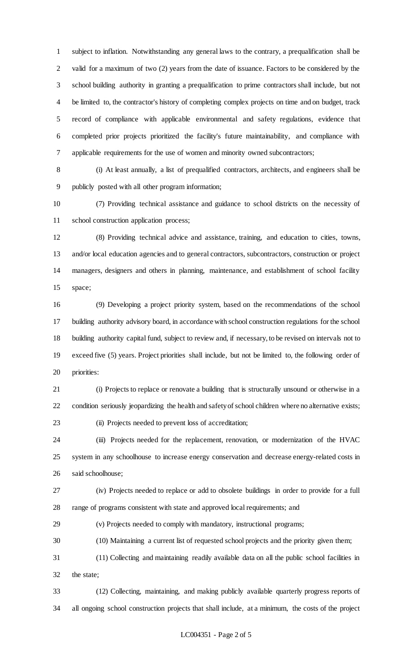subject to inflation. Notwithstanding any general laws to the contrary, a prequalification shall be valid for a maximum of two (2) years from the date of issuance. Factors to be considered by the school building authority in granting a prequalification to prime contractors shall include, but not be limited to, the contractor's history of completing complex projects on time and on budget, track record of compliance with applicable environmental and safety regulations, evidence that completed prior projects prioritized the facility's future maintainability, and compliance with applicable requirements for the use of women and minority owned subcontractors;

 (i) At least annually, a list of prequalified contractors, architects, and engineers shall be publicly posted with all other program information;

 (7) Providing technical assistance and guidance to school districts on the necessity of school construction application process;

 (8) Providing technical advice and assistance, training, and education to cities, towns, and/or local education agencies and to general contractors, subcontractors, construction or project managers, designers and others in planning, maintenance, and establishment of school facility space;

 (9) Developing a project priority system, based on the recommendations of the school building authority advisory board, in accordance with school construction regulations for the school building authority capital fund, subject to review and, if necessary, to be revised on intervals not to exceed five (5) years. Project priorities shall include, but not be limited to, the following order of priorities:

 (i) Projects to replace or renovate a building that is structurally unsound or otherwise in a condition seriously jeopardizing the health and safety of school children where no alternative exists; (ii) Projects needed to prevent loss of accreditation;

 (iii) Projects needed for the replacement, renovation, or modernization of the HVAC system in any schoolhouse to increase energy conservation and decrease energy-related costs in said schoolhouse;

 (iv) Projects needed to replace or add to obsolete buildings in order to provide for a full range of programs consistent with state and approved local requirements; and

(v) Projects needed to comply with mandatory, instructional programs;

(10) Maintaining a current list of requested school projects and the priority given them;

 (11) Collecting and maintaining readily available data on all the public school facilities in the state;

 (12) Collecting, maintaining, and making publicly available quarterly progress reports of all ongoing school construction projects that shall include, at a minimum, the costs of the project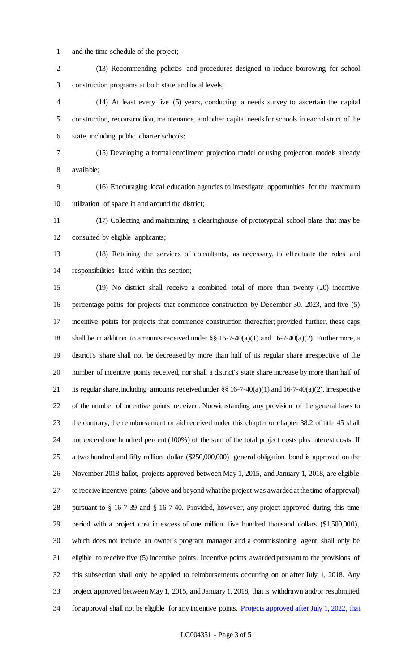and the time schedule of the project;

 (13) Recommending policies and procedures designed to reduce borrowing for school construction programs at both state and local levels;

 (14) At least every five (5) years, conducting a needs survey to ascertain the capital construction, reconstruction, maintenance, and other capital needs for schools in each district of the state, including public charter schools;

 (15) Developing a formal enrollment projection model or using projection models already available;

 (16) Encouraging local education agencies to investigate opportunities for the maximum utilization of space in and around the district;

 (17) Collecting and maintaining a clearinghouse of prototypical school plans that may be consulted by eligible applicants;

 (18) Retaining the services of consultants, as necessary, to effectuate the roles and responsibilities listed within this section;

 (19) No district shall receive a combined total of more than twenty (20) incentive percentage points for projects that commence construction by December 30, 2023, and five (5) incentive points for projects that commence construction thereafter; provided further, these caps 18 shall be in addition to amounts received under  $\S$ § 16-7-40(a)(1) and 16-7-40(a)(2). Furthermore, a district's share shall not be decreased by more than half of its regular share irrespective of the number of incentive points received, nor shall a district's state share increase by more than half of 21 its regular share, including amounts received under  $\S § 16-7-40(a)(1)$  and  $16-7-40(a)(2)$ , irrespective of the number of incentive points received. Notwithstanding any provision of the general laws to the contrary, the reimbursement or aid received under this chapter or chapter 38.2 of title 45 shall not exceed one hundred percent (100%) of the sum of the total project costs plus interest costs. If a two hundred and fifty million dollar (\$250,000,000) general obligation bond is approved on the November 2018 ballot, projects approved between May 1, 2015, and January 1, 2018, are eligible to receive incentive points (above and beyond what the project was awarded at the time of approval) pursuant to § 16-7-39 and § 16-7-40. Provided, however, any project approved during this time period with a project cost in excess of one million five hundred thousand dollars (\$1,500,000), which does not include an owner's program manager and a commissioning agent, shall only be eligible to receive five (5) incentive points. Incentive points awarded pursuant to the provisions of this subsection shall only be applied to reimbursements occurring on or after July 1, 2018. Any project approved between May 1, 2015, and January 1, 2018, that is withdrawn and/or resubmitted 34 for approval shall not be eligible for any incentive points. Projects approved after July 1, 2022, that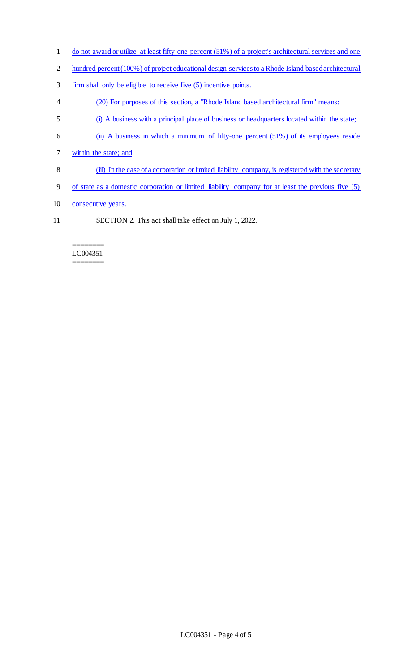- 1 do not award or utilize at least fifty-one percent (51%) of a project's architectural services and one
- 2 hundred percent (100%) of project educational design services to a Rhode Island based architectural
- 3 firm shall only be eligible to receive five (5) incentive points.
- 4 (20) For purposes of this section, a "Rhode Island based architectural firm" means:
- 5 (i) A business with a principal place of business or headquarters located within the state;
- 6 (ii) A business in which a minimum of fifty-one percent (51%) of its employees reside
- 7 within the state; and
- 8 (iii) In the case of a corporation or limited liability company, is registered with the secretary
- 9 of state as a domestic corporation or limited liability company for at least the previous five (5)
- 10 consecutive years.
- 11 SECTION 2. This act shall take effect on July 1, 2022.

#### ======== LC004351 ========